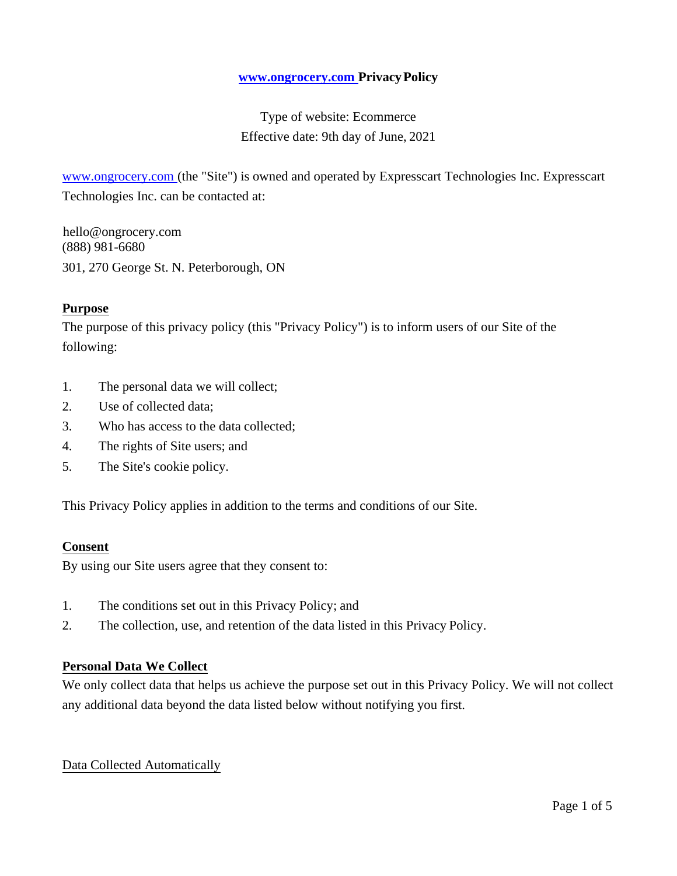### **[www.ongrocery.com P](http://www.ongrocery.com/)rivacyPolicy**

Type of website: Ecommerce Effective date: 9th day of June, 2021

www.ongrocery.com (the "Site") is owned and operated by Expresscart Technologies Inc. Expresscart Technologies Inc. can be contacted at:

 hello@ongrocery.com (888) 981-6680 301, 270 George St. N. Peterborough, ON

### **Purpose**

The purpose of this privacy policy (this "Privacy Policy") is to inform users of our Site of the following:

- 1. The personal data we will collect;
- 2. Use of collected data;
- 3. Who has access to the data collected;
- 4. The rights of Site users; and
- 5. The Site's cookie policy.

This Privacy Policy applies in addition to the terms and conditions of our Site.

#### **Consent**

By using our Site users agree that they consent to:

- 1. The conditions set out in this Privacy Policy; and
- 2. The collection, use, and retention of the data listed in this Privacy Policy.

#### **Personal Data We Collect**

We only collect data that helps us achieve the purpose set out in this Privacy Policy. We will not collect any additional data beyond the data listed below without notifying you first.

#### Data Collected Automatically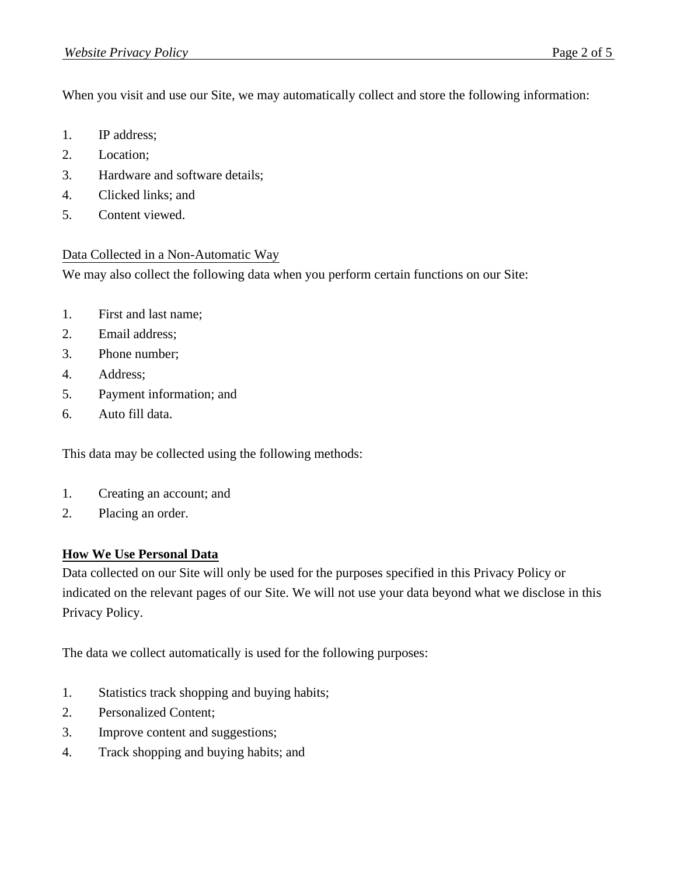When you visit and use our Site, we may automatically collect and store the following information:

- 1. IP address;
- 2. Location;
- 3. Hardware and software details;
- 4. Clicked links; and
- 5. Content viewed.

# Data Collected in a Non-Automatic Way

We may also collect the following data when you perform certain functions on our Site:

- 1. First and last name;
- 2. Email address;
- 3. Phone number;
- 4. Address;
- 5. Payment information; and
- 6. Auto fill data.

This data may be collected using the following methods:

- 1. Creating an account; and
- 2. Placing an order.

# **How We Use Personal Data**

Data collected on our Site will only be used for the purposes specified in this Privacy Policy or indicated on the relevant pages of our Site. We will not use your data beyond what we disclose in this Privacy Policy.

The data we collect automatically is used for the following purposes:

- 1. Statistics track shopping and buying habits;
- 2. Personalized Content;
- 3. Improve content and suggestions;
- 4. Track shopping and buying habits; and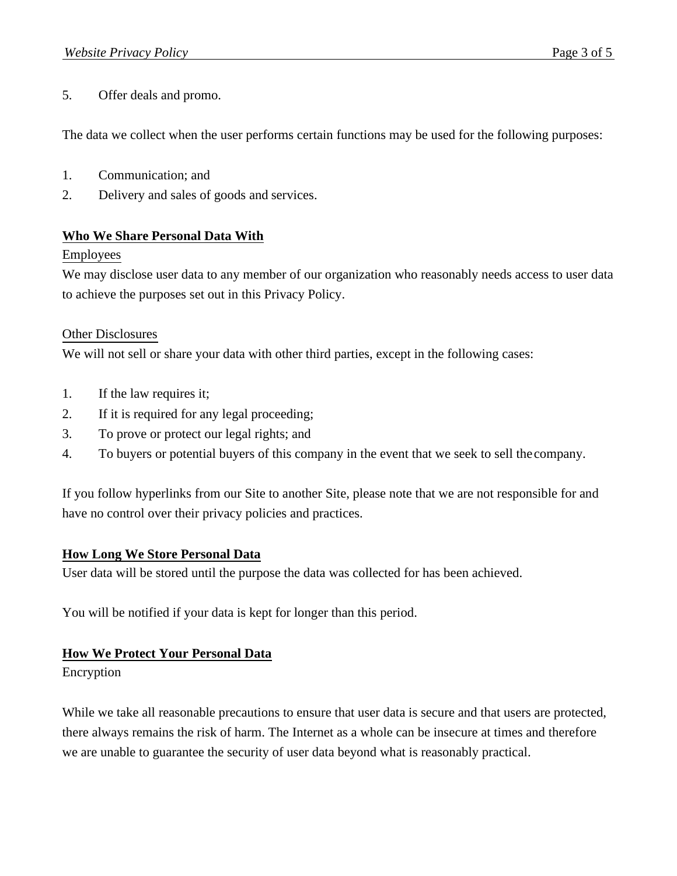5. Offer deals and promo.

The data we collect when the user performs certain functions may be used for the following purposes:

- 1. Communication; and
- 2. Delivery and sales of goods and services.

### **Who We Share Personal Data With**

#### Employees

We may disclose user data to any member of our organization who reasonably needs access to user data to achieve the purposes set out in this Privacy Policy.

### Other Disclosures

We will not sell or share your data with other third parties, except in the following cases:

- 1. If the law requires it;
- 2. If it is required for any legal proceeding;
- 3. To prove or protect our legal rights; and
- 4. To buyers or potential buyers of this company in the event that we seek to sell the company.

If you follow hyperlinks from our Site to another Site, please note that we are not responsible for and have no control over their privacy policies and practices.

# **How Long We Store Personal Data**

User data will be stored until the purpose the data was collected for has been achieved.

You will be notified if your data is kept for longer than this period.

# **How We Protect Your Personal Data**

Encryption

While we take all reasonable precautions to ensure that user data is secure and that users are protected, there always remains the risk of harm. The Internet as a whole can be insecure at times and therefore we are unable to guarantee the security of user data beyond what is reasonably practical.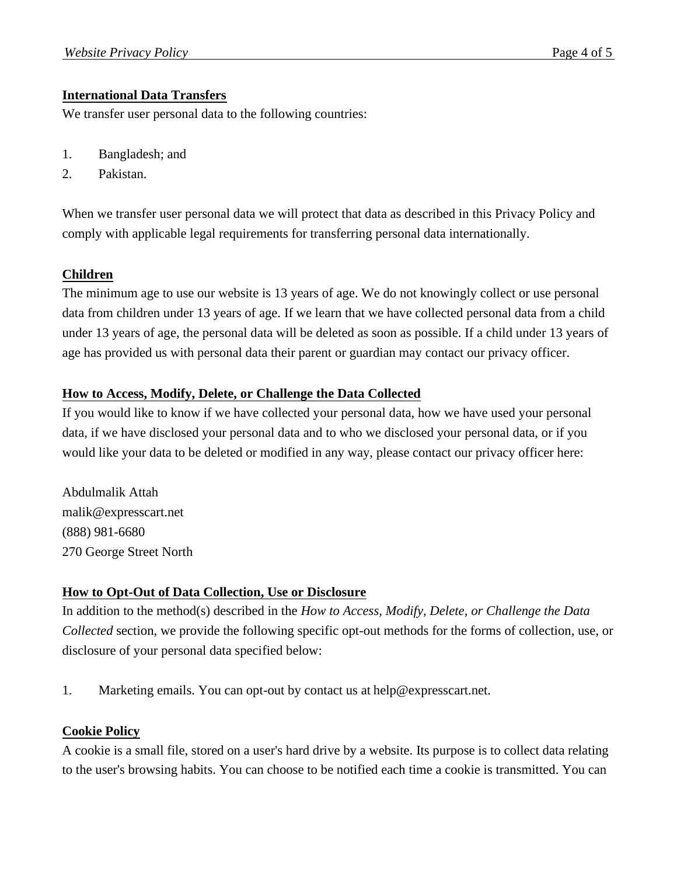# **International Data Transfers**

We transfer user personal data to the following countries:

- 1. Bangladesh; and
- 2. Pakistan.

When we transfer user personal data we will protect that data as described in this Privacy Policy and comply with applicable legal requirements for transferring personal data internationally.

### **Children**

The minimum age to use our website is 13 years of age. We do not knowingly collect or use personal data from children under 13 years of age. If we learn that we have collected personal data from a child under 13 years of age, the personal data will be deleted as soon as possible. If a child under 13 years of age has provided us with personal data their parent or guardian may contact our privacy officer.

### **How to Access, Modify, Delete, or Challenge the Data Collected**

If you would like to know if we have collected your personal data, how we have used your personal data, if we have disclosed your personal data and to who we disclosed your personal data, or if you would like your data to be deleted or modified in any way, please contact our privacy officer here:

Abdulmalik Attah [malik@expresscart.net](mailto:malik@expresscart.net) (888) 981-6680 270 George Street North

# **How to Opt-Out of Data Collection, Use or Disclosure**

In addition to the method(s) described in the *How to Access, Modify, Delete, or Challenge the Data Collected* section, we provide the following specific opt-out methods for the forms of collection, use, or disclosure of your personal data specified below:

1. Marketing emails. You can opt-out by contact us at [help@expresscart.net.](mailto:help@expresscart.net)

#### **Cookie Policy**

A cookie is a small file, stored on a user's hard drive by a website. Its purpose is to collect data relating to the user's browsing habits. You can choose to be notified each time a cookie is transmitted. You can